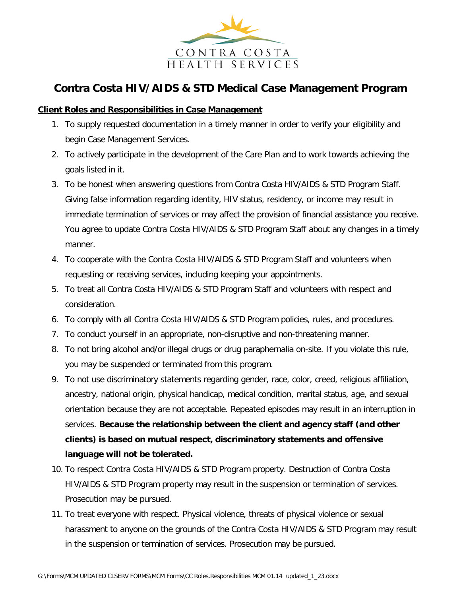

## **Contra Costa HIV/AIDS & STD Medical Case Management Program**

## **Client Roles and Responsibilities in Case Management**

- 1. To supply requested documentation in a timely manner in order to verify your eligibility and begin Case Management Services.
- 2. To actively participate in the development of the Care Plan and to work towards achieving the goals listed in it.
- 3. To be honest when answering questions from Contra Costa HIV/AIDS & STD Program Staff. Giving false information regarding identity, HIV status, residency, or income may result in immediate termination of services or may affect the provision of financial assistance you receive. You agree to update Contra Costa HIV/AIDS & STD Program Staff about any changes in a timely manner.
- 4. To cooperate with the Contra Costa HIV/AIDS & STD Program Staff and volunteers when requesting or receiving services, including keeping your appointments.
- 5. To treat all Contra Costa HIV/AIDS & STD Program Staff and volunteers with respect and consideration.
- 6. To comply with all Contra Costa HIV/AIDS & STD Program policies, rules, and procedures.
- 7. To conduct yourself in an appropriate, non-disruptive and non-threatening manner.
- 8. To not bring alcohol and/or illegal drugs or drug paraphernalia on-site. If you violate this rule, you may be suspended or terminated from this program.
- 9. To not use discriminatory statements regarding gender, race, color, creed, religious affiliation, ancestry, national origin, physical handicap, medical condition, marital status, age, and sexual orientation because they are not acceptable. Repeated episodes may result in an interruption in services. **Because the relationship between the client and agency staff (and other clients) is based on mutual respect, discriminatory statements and offensive language will not be tolerated.**
- 10. To respect Contra Costa HIV/AIDS & STD Program property. Destruction of Contra Costa HIV/AIDS & STD Program property may result in the suspension or termination of services. Prosecution may be pursued.
- 11. To treat everyone with respect. Physical violence, threats of physical violence or sexual harassment to anyone on the grounds of the Contra Costa HIV/AIDS & STD Program may result in the suspension or termination of services. Prosecution may be pursued.